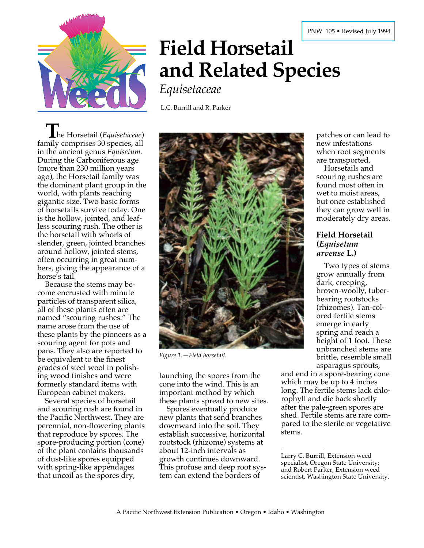

# **Field Horsetail and Related Species**

*Equisetaceae*

L.C. Burrill and R. Parker

**T** he Horsetail (*Equisetaceae*) family comprises 30 species, all in the ancient genus *Equisetum.* During the Carboniferous age (more than 230 million years ago), the Horsetail family was the dominant plant group in the world, with plants reaching gigantic size. Two basic forms of horsetails survive today. One is the hollow, jointed, and leafless scouring rush. The other is the horsetail with whorls of slender, green, jointed branches around hollow, jointed stems, often occurring in great numbers, giving the appearance of a horse's tail.

Because the stems may become encrusted with minute particles of transparent silica, all of these plants often are named "scouring rushes." The name arose from the use of these plants by the pioneers as a scouring agent for pots and pans. They also are reported to be equivalent to the finest grades of steel wool in polishing wood finishes and were formerly standard items with European cabinet makers.

Several species of horsetail and scouring rush are found in the Pacific Northwest. They are perennial, non-flowering plants that reproduce by spores. The spore-producing portion (cone) of the plant contains thousands of dust-like spores equipped with spring-like appendages that uncoil as the spores dry,



*Figure 1.—Field horsetail.*

launching the spores from the cone into the wind. This is an important method by which these plants spread to new sites.

Spores eventually produce new plants that send branches downward into the soil. They establish successive, horizontal rootstock (rhizome) systems at about 12-inch intervals as growth continues downward. This profuse and deep root system can extend the borders of

patches or can lead to new infestations when root segments are transported.

Horsetails and scouring rushes are found most often in wet to moist areas, but once established they can grow well in moderately dry areas.

#### **Field Horsetail (***Equisetum arvense* **L.)**

Two types of stems grow annually from dark, creeping, brown-woolly, tuberbearing rootstocks (rhizomes). Tan-colored fertile stems emerge in early spring and reach a height of 1 foot. These unbranched stems are brittle, resemble small asparagus sprouts,

and end in a spore-bearing cone which may be up to 4 inches long. The fertile stems lack chlorophyll and die back shortly after the pale-green spores are shed. Fertile stems are rare compared to the sterile or vegetative stems.

Larry C. Burrill, Extension weed specialist, Oregon State University; and Robert Parker, Extension weed scientist, Washington State University.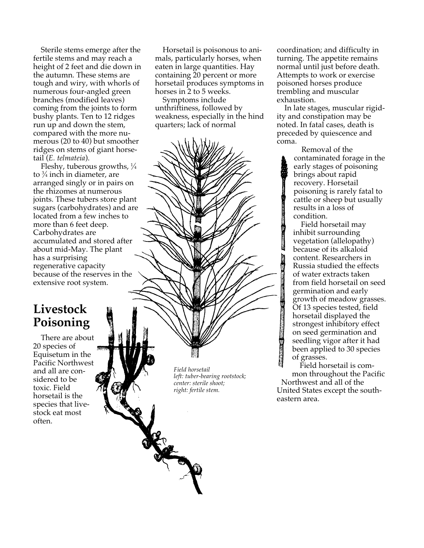Sterile stems emerge after the fertile stems and may reach a height of 2 feet and die down in the autumn. These stems are tough and wiry, with whorls of numerous four-angled green branches (modified leaves) coming from the joints to form bushy plants. Ten to 12 ridges run up and down the stem, compared with the more numerous (20 to 40) but smoother ridges on stems of giant horsetail (*E. telmateia*).

Fleshy, tuberous growths,  $\frac{1}{4}$ to 3 ⁄4 inch in diameter, are arranged singly or in pairs on the rhizomes at numerous joints. These tubers store plant sugars (carbohydrates) and are located from a few inches to more than 6 feet deep. Carbohydrates are accumulated and stored after about mid-May. The plant has a surprising regenerative capacity because of the reserves in the extensive root system.

### **Livestock Poisoning**

There are about 20 species of Equisetum in the Pacific Northwest and all are considered to be toxic. Field horsetail is the species that livestock eat most often.

Horsetail is poisonous to animals, particularly horses, when eaten in large quantities. Hay containing 20 percent or more horsetail produces symptoms in horses in 2 to 5 weeks.

Symptoms include unthriftiness, followed by weakness, especially in the hind quarters; lack of normal

> *Field horsetail left: tuber-bearing rootstock; center: sterile shoot; right: fertile stem.*

coordination; and difficulty in turning. The appetite remains normal until just before death. Attempts to work or exercise poisoned horses produce trembling and muscular exhaustion.

In late stages, muscular rigidity and constipation may be noted. In fatal cases, death is preceded by quiescence and coma.

> Removal of the contaminated forage in the early stages of poisoning brings about rapid recovery. Horsetail poisoning is rarely fatal to cattle or sheep but usually results in a loss of condition.

> Field horsetail may inhibit surrounding vegetation (allelopathy) because of its alkaloid content. Researchers in Russia studied the effects of water extracts taken from field horsetail on seed germination and early growth of meadow grasses. Of 13 species tested, field horsetail displayed the strongest inhibitory effect on seed germination and seedling vigor after it had been applied to 30 species of grasses.

Field horsetail is common throughout the Pacific Northwest and all of the United States except the southeastern area.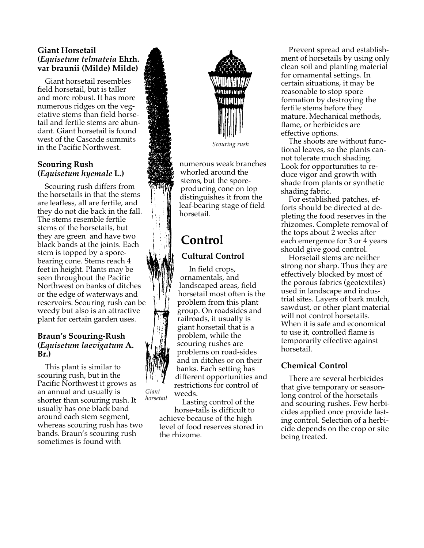#### **Giant Horsetail (***Equisetum telmateia* **Ehrh. var braunii (Milde) Milde)**

Giant horsetail resembles field horsetail, but is taller and more robust. It has more numerous ridges on the vegetative stems than field horsetail and fertile stems are abundant. Giant horsetail is found west of the Cascade summits in the Pacific Northwest.

#### **Scouring Rush (***Equisetum hyemale* **L.)**

Scouring rush differs from the horsetails in that the stems are leafless, all are fertile, and they do not die back in the fall. The stems resemble fertile stems of the horsetails, but they are green and have two black bands at the joints. Each stem is topped by a sporebearing cone. Stems reach 4 feet in height. Plants may be seen throughout the Pacific Northwest on banks of ditches or the edge of waterways and reservoirs. Scouring rush can be weedy but also is an attractive plant for certain garden uses.

#### **Braun's Scouring-Rush (***Equisetum laevigatum* **A. Br.)**

This plant is similar to scouring rush, but in the Pacific Northwest it grows as an annual and usually is shorter than scouring rush. It usually has one black band around each stem segment, whereas scouring rush has two bands. Braun's scouring rush sometimes is found with *Giant*



*Scouring rush*

numerous weak branches whorled around the stems, but the sporeproducing cone on top distinguishes it from the leaf-bearing stage of field horsetail.

## **Control Cultural Control**

In field crops, ornamentals, and landscaped areas, field horsetail most often is the problem from this plant group. On roadsides and railroads, it usually is giant horsetail that is a problem, while the scouring rushes are problems on road-sides and in ditches or on their banks. Each setting has different opportunities and restrictions for control of weeds.

Lasting control of the horse-tails is difficult to achieve because of the high level of food reserves stored in the rhizome. *horsetail*

Prevent spread and establishment of horsetails by using only clean soil and planting material for ornamental settings. In certain situations, it may be reasonable to stop spore formation by destroying the fertile stems before they mature. Mechanical methods, flame, or herbicides are effective options.

The shoots are without functional leaves, so the plants cannot tolerate much shading. Look for opportunities to reduce vigor and growth with shade from plants or synthetic shading fabric.

For established patches, efforts should be directed at depleting the food reserves in the rhizomes. Complete removal of the tops about  $\overline{2}$  weeks after each emergence for 3 or 4 years should give good control.

Horsetail stems are neither strong nor sharp. Thus they are effectively blocked by most of the porous fabrics (geotextiles) used in landscape and industrial sites. Layers of bark mulch, sawdust, or other plant material will not control horsetails. When it is safe and economical to use it, controlled flame is temporarily effective against horsetail.

#### **Chemical Control**

There are several herbicides that give temporary or seasonlong control of the horsetails and scouring rushes. Few herbicides applied once provide lasting control. Selection of a herbicide depends on the crop or site being treated.